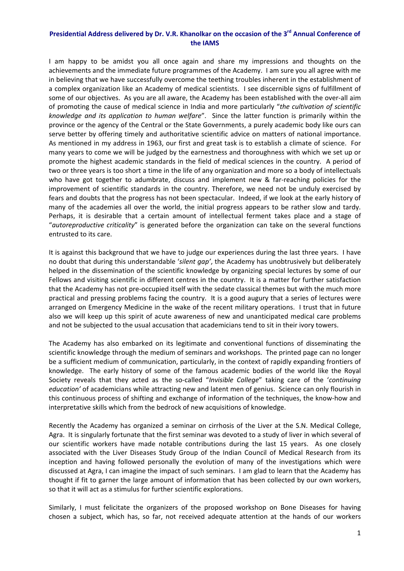## **Presidential Address delivered by Dr. V.R. Khanolkar on the occasion of the 3rd Annual Conference of the IAMS**

I am happy to be amidst you all once again and share my impressions and thoughts on the achievements and the immediate future programmes of the Academy. I am sure you all agree with me in believing that we have successfully overcome the teething troubles inherent in the establishment of a complex organization like an Academy of medical scientists. I see discernible signs of fulfillment of some of our objectives. As you are all aware, the Academy has been established with the over-all aim of promoting the cause of medical science in India and more particularly "*the cultivation of scientific knowledge and its application to human welfare*". Since the latter function is primarily within the province or the agency of the Central or the State Governments, a purely academic body like ours can serve better by offering timely and authoritative scientific advice on matters of national importance. As mentioned in my address in 1963, our first and great task is to establish a climate of science. For many years to come we will be judged by the earnestness and thoroughness with which we set up or promote the highest academic standards in the field of medical sciences in the country. A period of two or three years is too short a time in the life of any organization and more so a body of intellectuals who have got together to adumbrate, discuss and implement new & far-reaching policies for the improvement of scientific standards in the country. Therefore, we need not be unduly exercised by fears and doubts that the progress has not been spectacular. Indeed, if we look at the early history of many of the academies all over the world, the initial progress appears to be rather slow and tardy. Perhaps, it is desirable that a certain amount of intellectual ferment takes place and a stage of "*autoreproductive criticality*" is generated before the organization can take on the several functions entrusted to its care.

It is against this background that we have to judge our experiences during the last three years. I have no doubt that during this understandable '*silent gap'*, the Academy has unobtrusively but deliberately helped in the dissemination of the scientific knowledge by organizing special lectures by some of our Fellows and visiting scientific in different centres in the country. It is a matter for further satisfaction that the Academy has not pre‐occupied itself with the sedate classical themes but with the much more practical and pressing problems facing the country. It is a good augury that a series of lectures were arranged on Emergency Medicine in the wake of the recent military operations. I trust that in future also we will keep up this spirit of acute awareness of new and unanticipated medical care problems and not be subjected to the usual accusation that academicians tend to sit in their ivory towers.

The Academy has also embarked on its legitimate and conventional functions of disseminating the scientific knowledge through the medium of seminars and workshops. The printed page can no longer be a sufficient medium of communication, particularly, in the context of rapidly expanding frontiers of knowledge. The early history of some of the famous academic bodies of the world like the Royal Society reveals that they acted as the so‐called "*Invisible College*" taking care of the '*continuing education'* of academicians while attracting new and latent men of genius. Science can only flourish in this continuous process of shifting and exchange of information of the techniques, the know‐how and interpretative skills which from the bedrock of new acquisitions of knowledge.

Recently the Academy has organized a seminar on cirrhosis of the Liver at the S.N. Medical College, Agra. It is singularly fortunate that the first seminar was devoted to a study of liver in which several of our scientific workers have made notable contributions during the last 15 years. As one closely associated with the Liver Diseases Study Group of the Indian Council of Medical Research from its inception and having followed personally the evolution of many of the investigations which were discussed at Agra, I can imagine the impact of such seminars. I am glad to learn that the Academy has thought if fit to garner the large amount of information that has been collected by our own workers, so that it will act as a stimulus for further scientific explorations.

Similarly, I must felicitate the organizers of the proposed workshop on Bone Diseases for having chosen a subject, which has, so far, not received adequate attention at the hands of our workers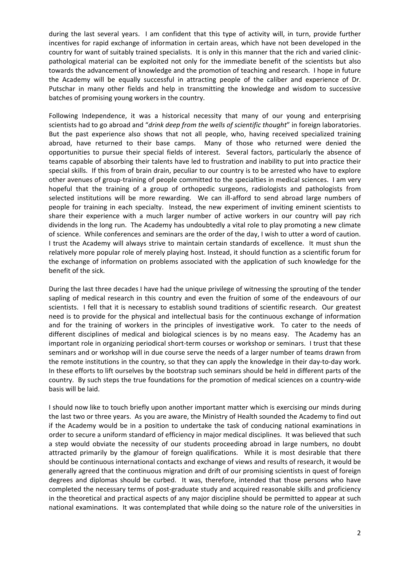during the last several years. I am confident that this type of activity will, in turn, provide further incentives for rapid exchange of information in certain areas, which have not been developed in the country for want of suitably trained specialists. It is only in this manner that the rich and varied clinic‐ pathological material can be exploited not only for the immediate benefit of the scientists but also towards the advancement of knowledge and the promotion of teaching and research. I hope in future the Academy will be equally successful in attracting people of the caliber and experience of Dr. Putschar in many other fields and help in transmitting the knowledge and wisdom to successive batches of promising young workers in the country.

Following Independence, it was a historical necessity that many of our young and enterprising scientists had to go abroad and "*drink deep from the wells of scientific thought*" in foreign laboratories. But the past experience also shows that not all people, who, having received specialized training abroad, have returned to their base camps. Many of those who returned were denied the opportunities to pursue their special fields of interest. Several factors, particularly the absence of teams capable of absorbing their talents have led to frustration and inability to put into practice their special skills. If this from of brain drain, peculiar to our country is to be arrested who have to explore other avenues of group-training of people committed to the specialties in medical sciences. I am very hopeful that the training of a group of orthopedic surgeons, radiologists and pathologists from selected institutions will be more rewarding. We can ill-afford to send abroad large numbers of people for training in each specialty. Instead, the new experiment of inviting eminent scientists to share their experience with a much larger number of active workers in our country will pay rich dividends in the long run. The Academy has undoubtedly a vital role to play promoting a new climate of science. While conferences and seminars are the order of the day, I wish to utter a word of caution. I trust the Academy will always strive to maintain certain standards of excellence. It must shun the relatively more popular role of merely playing host. Instead, it should function as a scientific forum for the exchange of information on problems associated with the application of such knowledge for the benefit of the sick.

During the last three decades I have had the unique privilege of witnessing the sprouting of the tender sapling of medical research in this country and even the fruition of some of the endeavours of our scientists. I fell that it is necessary to establish sound traditions of scientific research. Our greatest need is to provide for the physical and intellectual basis for the continuous exchange of information and for the training of workers in the principles of investigative work. To cater to the needs of different disciplines of medical and biological sciences is by no means easy. The Academy has an important role in organizing periodical short-term courses or workshop or seminars. I trust that these seminars and or workshop will in due course serve the needs of a larger number of teams drawn from the remote institutions in the country, so that they can apply the knowledge in their day‐to‐day work. In these efforts to lift ourselves by the bootstrap such seminars should be held in different parts of the country. By such steps the true foundations for the promotion of medical sciences on a country‐wide basis will be laid.

I should now like to touch briefly upon another important matter which is exercising our minds during the last two or three years. As you are aware, the Ministry of Health sounded the Academy to find out if the Academy would be in a position to undertake the task of conducing national examinations in order to secure a uniform standard of efficiency in major medical disciplines. It was believed that such a step would obviate the necessity of our students proceeding abroad in large numbers, no doubt attracted primarily by the glamour of foreign qualifications. While it is most desirable that there should be continuous international contacts and exchange of views and results of research, it would be generally agreed that the continuous migration and drift of our promising scientists in quest of foreign degrees and diplomas should be curbed. It was, therefore, intended that those persons who have completed the necessary terms of post‐graduate study and acquired reasonable skills and proficiency in the theoretical and practical aspects of any major discipline should be permitted to appear at such national examinations. It was contemplated that while doing so the nature role of the universities in